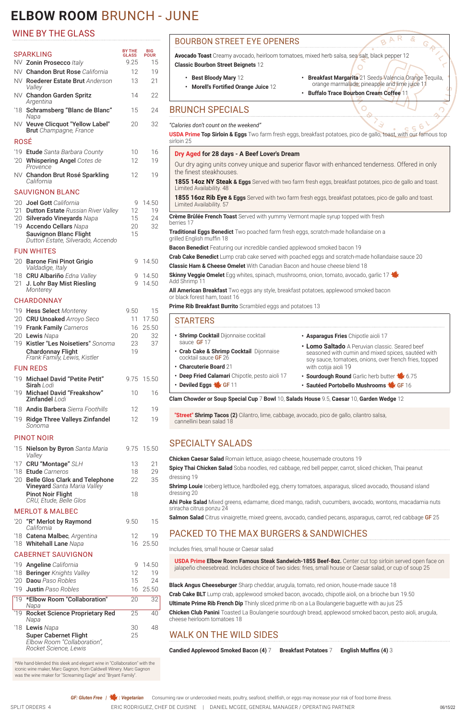# **ELBOW ROOM** BRUNCH - JUNE

## BOURBON STREET EYE OPENERS

**Avocado Toast** Creamy avocado, heirloom tomatoes, mixed herb salsa, sea salt, black pepper 12 **Classic Bourbon Street Beignets** 12

- **• Best Bloody Mary** 12
- **• Morell's Fortified Orange Juice** 12
- **• Breakfast Margarita** 21 Seeds Valencia Orange Tequila, orange marmalade, pineapple and lime juice 11

R  $\triangleright$ B

**• Buffalo Trace Bourbon Cream Coffee** 11

O

# BRUNCH SPECIALS

### *"Calories don't count on the weekend"*

**USDA Prime Top Sirloin & Eggs** Two farm fresh eggs, breakfast potatoes, pico de gallo, toast, with our famous top sirloin 25

### **Dry Aged for 28 days - A Beef Lover's Dream**

**Skinny Veggie Omelet** Egg whites, spinach, mushrooms, onion, tomato, avocado, garlic 17 Add Shrimp 11

Our dry aging units convey unique and superior flavor with enhanced tenderness. Offered in only the finest steakhouses.

**1855 14oz NY Steak & Eggs** Served with two farm fresh eggs, breakfast potatoes, pico de gallo and toast. Limited Availability. 48

- **• Deep Fried Calamari** Chipotle, pesto aioli 17
- **• Asparagus Fries** Chipotle aioli 17
- **• Lomo Saltado** A Peruvian classic. Seared beef seasoned with cumin and mixed spices, sautéed with soy sauce, tomatoes, onions, over french fries, topped with cotija aioli 19
- **Sourdough Round** Garlic herb butter \$ 6.75
- **Sautéed Portobello Mushrooms VGF 16**

**1855 16oz Rib Eye & Eggs** Served with two farm fresh eggs, breakfast potatoes, pico de gallo and toast. Limited Availability. 57

**Crème Brûlée French Toast** Served with yummy Vermont maple syrup topped with fresh berries 17

**Traditional Eggs Benedict** Two poached farm fresh eggs, scratch-made hollandaise on a grilled English muffin 18

**Bacon Benedict** Featuring our incredible candied applewood smoked bacon 19

**Crab Cake Benedict** Lump crab cake served with poached eggs and scratch-made hollandaise sauce 20

**Classic Ham & Cheese Omelet** With Canadian Bacon and house cheese blend 18

**All American Breakfast** Two eggs any style, breakfast potatoes, applewood smoked bacon or black forest ham, toast 16

**Prime Rib Breakfast Burrito** Scrambled eggs and potatoes 13

### STARTERS

- **• Shrimp Cocktail** Dijonnaise cocktail sauce **GF** 17
- **• Crab Cake & Shrimp Cocktail** Dijonnaise cocktail sauce GF 26
- **• Charcuterie Board** 21

• **Deviled Eggs \ GF 11** 

**Clam Chowder or Soup Special Cup** 7 **Bowl** 10, **Salads House** 9.5, **Caesar** 10, **Garden Wedge** 12

**"Street" Shrimp Tacos (2)** Cilantro, lime, cabbage, avocado, pico de gallo, cilantro salsa, cannellini bean salad 18

# SPECIALTY SALADS

#### SPARKLING **BY THE<br>GLASS** BIG POUR NV **Zonin Prosecco** *Italy* 9.25 15 NV Chandon Brut Rose *California* 12 19 NV Roederer Estate Brut *Anderson Valley* 13 21 NV Chandon Garden Spritz *Argentina* 14 22 '18 Schramsberg "Blanc de Blanc" *Napa* 15 24 NV Veuve Clicquot "Yellow Label" Brut *Champagne, France* 20 32 ROSÉ '19 Etude *Santa Barbara County* 10 16 '20 Whispering Angel *Cotes de Provence* 12 19 NV Chandon Brut Rosé Sparkling *California* 12 19 SAUVIGNON BLANC '20 **Joel Gott** California **120 9 14.50** '21 Dutton Estate *Russian River Valley* 12 19 '20 Silverado Vineyards *Napa* 15 24 '19 Accendo Cellars *Napa* 20 32 Sauvignon Blanc Flight *Dutton Estate, Silverado, Accendo* 15 FUN WHITES '20 Barone Fini Pinot Grigio *Valdadige, Italy* 9 14.50 '18 CRU Albariño *Edna Valley* 9 14.50 '21 J. Lohr Bay Mist Riesling *Monterey* 9 14.50 CHARDONNAY '19 **Hess Select** Monterey **9.50** 15 '20 CRU Unoaked *Arroyo Seco* 11 17.50 '19 Frank Family *Carneros* 16 25.50 '20 Lewis *Napa* 20 32 '19 Kistler "Les Noisetiers" *Sonoma* 23 37 Chardonnay Flight *Frank Family, Lewis, Kistler* 19 FUN REDS '19 Michael David "Petite Petit" Sirah *Lodi* 9.75 15.50 '19 Michael David "Freakshow" Zinfandel *Lodi* 10 16 '18 Andis Barbera *Sierra Foothills* 12 19 '19 Ridge Three Valleys Zinfandel *Sonoma* 12 19 PINOT NOIR '15 Nielson by Byron *Santa Maria Valley* 9.75 15.50 '17 **CRU "Montage"** SLH 13 21 '18 Etude *Carneros* 18 29 '20 Belle Glos Clark and Telephone Vineyard *Santa Maria Valley* 22 35 Pinot Noir Flight 18

'20 "R" Merlot by Raymond *California*

| <b>Chicken Caesar Salad</b> Romain lettuce, asiago cheese, housemade croutons 19                                                   |
|------------------------------------------------------------------------------------------------------------------------------------|
| Spicy Thai Chicken Salad Soba noodles, red cabbage, red bell pepper, carrot, sliced chicken, Thai peanut                           |
| dressing 19                                                                                                                        |
| <b>Shrimp Louie</b> Iceberg lettuce, hardboiled egg, cherry tomatoes, asparagus, sliced avocado, thousand island<br>dressing 20    |
| Ahi Poke Salad Mixed greens, edamame, diced mango, radish, cucumbers, avocado, wontons, macadamia nuts<br>sriracha citrus ponzu 24 |
| <b>Colmon Color Citrus vinoigratto mivod groops, ovogodo condiad poenno concreque correct red opphega CE 25</b>                    |

**Salmon Salad** Citrus vinaigrette, mixed greens, avocado, candied pecans, asparagus, carrot, red cabbage GF 25

- 
- 
- 
- 

| <u>vuii viinu</u> |  |  |  |
|-------------------|--|--|--|
|-------------------|--|--|--|

### PACKED TO THE MAX BURGERS & SANDWICHES

#### Includes fries, small house or Caesar salad

**USDA Prime Elbow Room Famous Steak Sandwich-1855 Beef-8oz.** Center cut top sirloin served open face on jalapeño cheesebread. Includes choice of two sides: fries, small house or Caesar salad, or cup of soup 25

**Black Angus Cheeseburger** Sharp cheddar, arugula, tomato, red onion, house-made sauce 18 **Crab Cake BLT** Lump crab, applewood smoked bacon, avocado, chipotle aioli, on a brioche bun 19.50 **Ultimate Prime Rib French Dip** Thinly sliced prime rib on a La Boulangerie baguette with au jus 25

**Chicken Club Panini** Toasted La Boulangerie sourdough bread, applewood smoked bacon, pesto aioli, arugula, cheese heirloom tomatoes 18

# WALK ON THE WILD SIDES

**Candied Applewood Smoked Bacon (4)** 7 **Breakfast Potatoes** 7 **English Muffins (4)** 3

**GF: Gluten Free | \#: Vegetarian** Consuming raw or undercooked meats, poultry, seafood, shellfish, or eggs may increase your risk of food borne illness.

SPLIT ORDERS 4 ERIC RODRIGUEZ, CHEF DE CUISINE | DANIEL MCGEE, GENERAL MANAGER / OPERATING PARTNER

## WINE BY THE GLASS

| CRU, Etude, Belle Glos     |
|----------------------------|
| <b>MERLOT &amp; MALBEC</b> |

9.50 15

| 19 |
|----|
|    |

'18 Whitehall Lane *Napa* 16 25.50

### CABERNET SAUVIGNON

| '19 Angeline California                                                              |    | 14.50    |
|--------------------------------------------------------------------------------------|----|----------|
| '18 Beringer Knights Valley                                                          | 12 | 19       |
| '20 <b>Daou</b> Paso Robles                                                          | 15 | 24       |
| '19 Justin Paso Robles                                                               |    | 16 25.50 |
| '19 *Elbow Room "Collaboration"<br>Napa                                              | 20 | 32       |
| '19 Rocket Science Proprietary Red<br>Napa                                           | 25 | 40       |
| '18 Lewis Napa                                                                       | 30 | 48       |
| <b>Super Cabernet Flight</b><br>Elbow Room "Collaboration",<br>Rocket Science, Lewis | 25 |          |

\*We hand-blended this sleek and elegant wine in "Collaboration" with the iconic wine maker, Marc Gagnon, from Caldwell Winery. Marc Gagnon was the wine maker for "Screaming Eagle" and "Bryant Family".